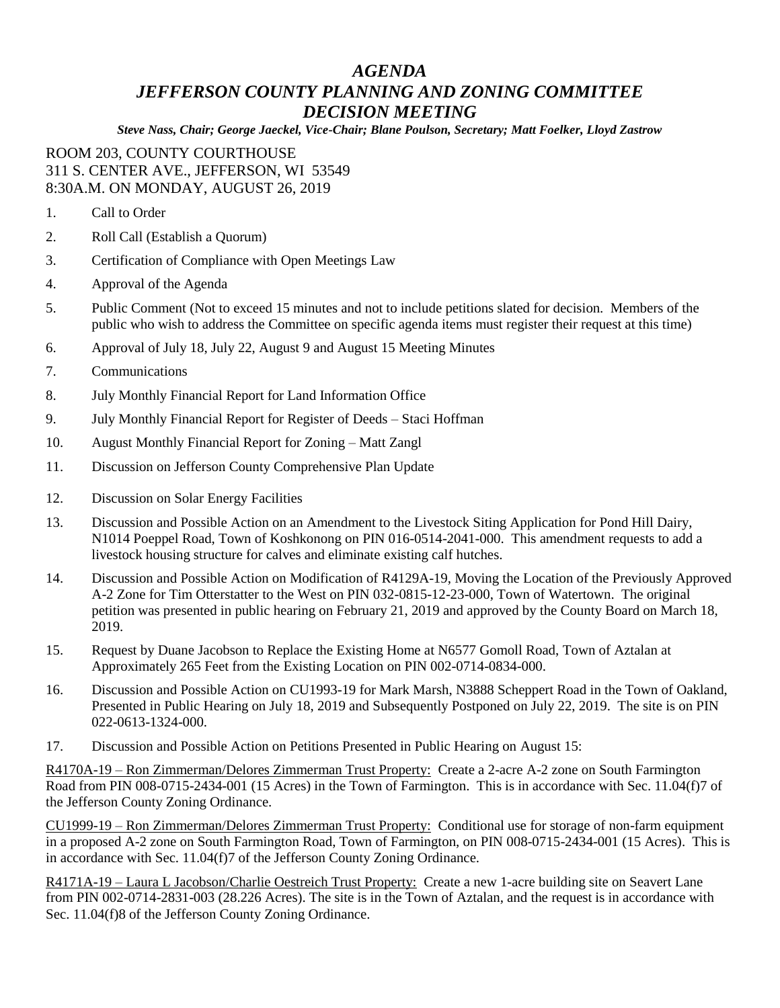## *AGENDA JEFFERSON COUNTY PLANNING AND ZONING COMMITTEE DECISION MEETING*

*Steve Nass, Chair; George Jaeckel, Vice-Chair; Blane Poulson, Secretary; Matt Foelker, Lloyd Zastrow*

## ROOM 203, COUNTY COURTHOUSE 311 S. CENTER AVE., JEFFERSON, WI 53549 8:30A.M. ON MONDAY, AUGUST 26, 2019

- 1. Call to Order
- 2. Roll Call (Establish a Quorum)
- 3. Certification of Compliance with Open Meetings Law
- 4. Approval of the Agenda
- 5. Public Comment (Not to exceed 15 minutes and not to include petitions slated for decision. Members of the public who wish to address the Committee on specific agenda items must register their request at this time)
- 6. Approval of July 18, July 22, August 9 and August 15 Meeting Minutes
- 7. Communications
- 8. July Monthly Financial Report for Land Information Office
- 9. July Monthly Financial Report for Register of Deeds Staci Hoffman
- 10. August Monthly Financial Report for Zoning Matt Zangl
- 11. Discussion on Jefferson County Comprehensive Plan Update
- 12. Discussion on Solar Energy Facilities
- 13. Discussion and Possible Action on an Amendment to the Livestock Siting Application for Pond Hill Dairy, N1014 Poeppel Road, Town of Koshkonong on PIN 016-0514-2041-000. This amendment requests to add a livestock housing structure for calves and eliminate existing calf hutches.
- 14. Discussion and Possible Action on Modification of R4129A-19, Moving the Location of the Previously Approved A-2 Zone for Tim Otterstatter to the West on PIN 032-0815-12-23-000, Town of Watertown. The original petition was presented in public hearing on February 21, 2019 and approved by the County Board on March 18, 2019.
- 15. Request by Duane Jacobson to Replace the Existing Home at N6577 Gomoll Road, Town of Aztalan at Approximately 265 Feet from the Existing Location on PIN 002-0714-0834-000.
- 16. Discussion and Possible Action on CU1993-19 for Mark Marsh, N3888 Scheppert Road in the Town of Oakland, Presented in Public Hearing on July 18, 2019 and Subsequently Postponed on July 22, 2019. The site is on PIN 022-0613-1324-000.
- 17. Discussion and Possible Action on Petitions Presented in Public Hearing on August 15:

R4170A-19 – Ron Zimmerman/Delores Zimmerman Trust Property: Create a 2-acre A-2 zone on South Farmington Road from PIN 008-0715-2434-001 (15 Acres) in the Town of Farmington. This is in accordance with Sec. 11.04(f)7 of the Jefferson County Zoning Ordinance.

CU1999-19 – Ron Zimmerman/Delores Zimmerman Trust Property: Conditional use for storage of non-farm equipment in a proposed A-2 zone on South Farmington Road, Town of Farmington, on PIN 008-0715-2434-001 (15 Acres). This is in accordance with Sec. 11.04(f)7 of the Jefferson County Zoning Ordinance.

R4171A-19 – Laura L Jacobson/Charlie Oestreich Trust Property: Create a new 1-acre building site on Seavert Lane from PIN 002-0714-2831-003 (28.226 Acres). The site is in the Town of Aztalan, and the request is in accordance with Sec. 11.04(f)8 of the Jefferson County Zoning Ordinance.